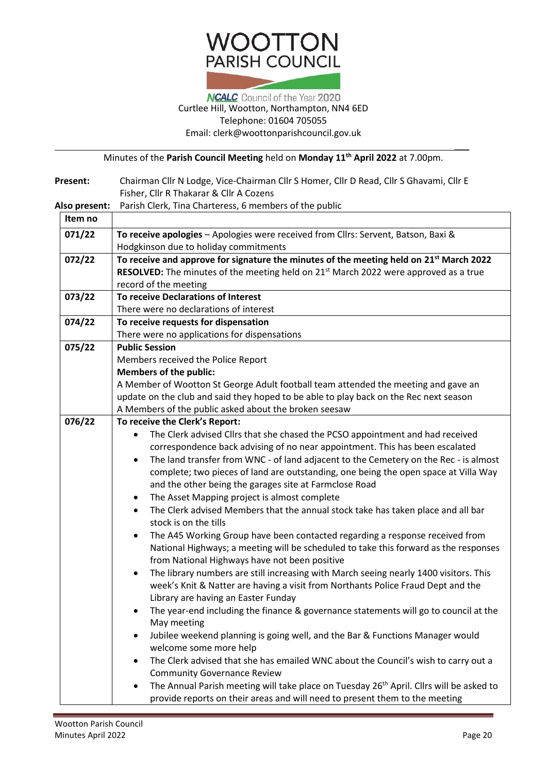# **WOOTTON** PARISH COUNCIL

### **NCALC** Council of the Year 2020 Curtlee Hill, Wootton, Northampton, NN4 6ED Telephone: 01604 705055 Email: [clerk@woottonparishcouncil.gov.uk](mailto:clerk@woottonparishcouncil.gov.uk)

Minutes of the **Parish Council Meeting** held on **Monday 11th April 2022** at 7.00pm.

| Present:      | Chairman Cllr N Lodge, Vice-Chairman Cllr S Homer, Cllr D Read, Cllr S Ghavami, Cllr E              |  |  |  |  |
|---------------|-----------------------------------------------------------------------------------------------------|--|--|--|--|
|               | Fisher, Cllr R Thakarar & Cllr A Cozens                                                             |  |  |  |  |
| Also present: | Parish Clerk, Tina Charteress, 6 members of the public                                              |  |  |  |  |
| Item no       |                                                                                                     |  |  |  |  |
| 071/22        | To receive apologies - Apologies were received from Cllrs: Servent, Batson, Baxi &                  |  |  |  |  |
|               | Hodgkinson due to holiday commitments                                                               |  |  |  |  |
| 072/22        | To receive and approve for signature the minutes of the meeting held on 21 <sup>st</sup> March 2022 |  |  |  |  |
|               | RESOLVED: The minutes of the meeting held on 21 <sup>st</sup> March 2022 were approved as a true    |  |  |  |  |
|               | record of the meeting                                                                               |  |  |  |  |
| 073/22        | To receive Declarations of Interest                                                                 |  |  |  |  |
|               | There were no declarations of interest                                                              |  |  |  |  |
| 074/22        | To receive requests for dispensation                                                                |  |  |  |  |
|               | There were no applications for dispensations                                                        |  |  |  |  |
| 075/22        | <b>Public Session</b>                                                                               |  |  |  |  |
|               | Members received the Police Report                                                                  |  |  |  |  |
|               | <b>Members of the public:</b>                                                                       |  |  |  |  |
|               | A Member of Wootton St George Adult football team attended the meeting and gave an                  |  |  |  |  |
|               | update on the club and said they hoped to be able to play back on the Rec next season               |  |  |  |  |
|               | A Members of the public asked about the broken seesaw                                               |  |  |  |  |
| 076/22        | To receive the Clerk's Report:                                                                      |  |  |  |  |
|               | The Clerk advised Cllrs that she chased the PCSO appointment and had received                       |  |  |  |  |
|               | correspondence back advising of no near appointment. This has been escalated                        |  |  |  |  |
|               | The land transfer from WNC - of land adjacent to the Cemetery on the Rec - is almost<br>$\bullet$   |  |  |  |  |
|               | complete; two pieces of land are outstanding, one being the open space at Villa Way                 |  |  |  |  |
|               | and the other being the garages site at Farmclose Road                                              |  |  |  |  |
|               | The Asset Mapping project is almost complete<br>٠                                                   |  |  |  |  |
|               | The Clerk advised Members that the annual stock take has taken place and all bar<br>٠               |  |  |  |  |
|               | stock is on the tills                                                                               |  |  |  |  |
|               | The A45 Working Group have been contacted regarding a response received from<br>$\bullet$           |  |  |  |  |
|               | National Highways; a meeting will be scheduled to take this forward as the responses                |  |  |  |  |
|               | from National Highways have not been positive                                                       |  |  |  |  |
|               | The library numbers are still increasing with March seeing nearly 1400 visitors. This               |  |  |  |  |
|               | week's Knit & Natter are having a visit from Northants Police Fraud Dept and the                    |  |  |  |  |
|               | Library are having an Easter Funday                                                                 |  |  |  |  |
|               | The year-end including the finance & governance statements will go to council at the                |  |  |  |  |
|               | May meeting                                                                                         |  |  |  |  |
|               | Jubilee weekend planning is going well, and the Bar & Functions Manager would<br>٠                  |  |  |  |  |
|               | welcome some more help                                                                              |  |  |  |  |
|               | The Clerk advised that she has emailed WNC about the Council's wish to carry out a                  |  |  |  |  |
|               | <b>Community Governance Review</b>                                                                  |  |  |  |  |
|               | The Annual Parish meeting will take place on Tuesday 26 <sup>th</sup> April. Cllrs will be asked to |  |  |  |  |
|               | provide reports on their areas and will need to present them to the meeting                         |  |  |  |  |

 $\overline{\phantom{a}}$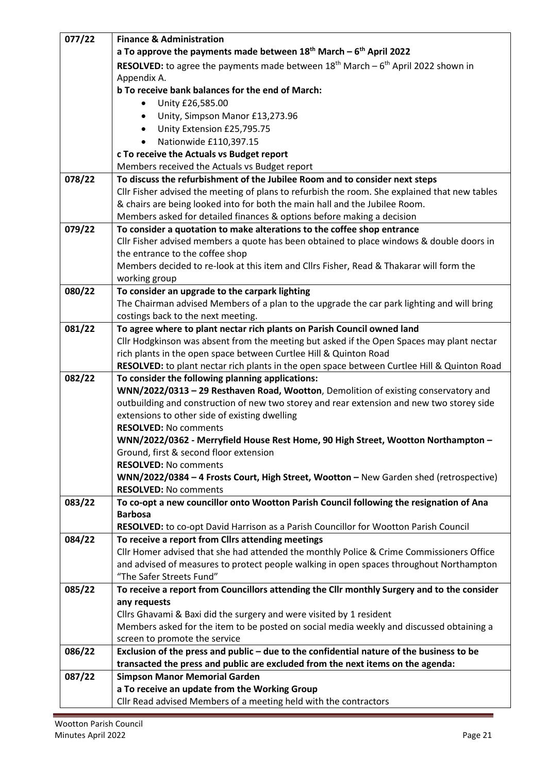| 077/22 | <b>Finance &amp; Administration</b>                                                                                                                                              |  |  |  |  |  |  |
|--------|----------------------------------------------------------------------------------------------------------------------------------------------------------------------------------|--|--|--|--|--|--|
|        | a To approve the payments made between $18th$ March – $6th$ April 2022                                                                                                           |  |  |  |  |  |  |
|        | <b>RESOLVED:</b> to agree the payments made between $18th$ March – $6th$ April 2022 shown in                                                                                     |  |  |  |  |  |  |
|        | Appendix A.                                                                                                                                                                      |  |  |  |  |  |  |
|        | b To receive bank balances for the end of March:                                                                                                                                 |  |  |  |  |  |  |
|        | Unity £26,585.00                                                                                                                                                                 |  |  |  |  |  |  |
|        | Unity, Simpson Manor £13,273.96<br>$\bullet$                                                                                                                                     |  |  |  |  |  |  |
|        | Unity Extension £25,795.75                                                                                                                                                       |  |  |  |  |  |  |
|        | Nationwide £110,397.15                                                                                                                                                           |  |  |  |  |  |  |
|        | c To receive the Actuals vs Budget report                                                                                                                                        |  |  |  |  |  |  |
|        | Members received the Actuals vs Budget report                                                                                                                                    |  |  |  |  |  |  |
| 078/22 | To discuss the refurbishment of the Jubilee Room and to consider next steps                                                                                                      |  |  |  |  |  |  |
|        | Cllr Fisher advised the meeting of plans to refurbish the room. She explained that new tables                                                                                    |  |  |  |  |  |  |
|        | & chairs are being looked into for both the main hall and the Jubilee Room.                                                                                                      |  |  |  |  |  |  |
|        | Members asked for detailed finances & options before making a decision                                                                                                           |  |  |  |  |  |  |
| 079/22 | To consider a quotation to make alterations to the coffee shop entrance                                                                                                          |  |  |  |  |  |  |
|        | Cllr Fisher advised members a quote has been obtained to place windows & double doors in                                                                                         |  |  |  |  |  |  |
|        | the entrance to the coffee shop                                                                                                                                                  |  |  |  |  |  |  |
|        | Members decided to re-look at this item and ClIrs Fisher, Read & Thakarar will form the                                                                                          |  |  |  |  |  |  |
|        | working group                                                                                                                                                                    |  |  |  |  |  |  |
| 080/22 | To consider an upgrade to the carpark lighting                                                                                                                                   |  |  |  |  |  |  |
|        | The Chairman advised Members of a plan to the upgrade the car park lighting and will bring                                                                                       |  |  |  |  |  |  |
|        | costings back to the next meeting.                                                                                                                                               |  |  |  |  |  |  |
| 081/22 | To agree where to plant nectar rich plants on Parish Council owned land                                                                                                          |  |  |  |  |  |  |
|        | Cllr Hodgkinson was absent from the meeting but asked if the Open Spaces may plant nectar                                                                                        |  |  |  |  |  |  |
|        | rich plants in the open space between Curtlee Hill & Quinton Road                                                                                                                |  |  |  |  |  |  |
|        | RESOLVED: to plant nectar rich plants in the open space between Curtlee Hill & Quinton Road                                                                                      |  |  |  |  |  |  |
| 082/22 | To consider the following planning applications:                                                                                                                                 |  |  |  |  |  |  |
|        | WNN/2022/0313 - 29 Resthaven Road, Wootton, Demolition of existing conservatory and<br>outbuilding and construction of new two storey and rear extension and new two storey side |  |  |  |  |  |  |
|        |                                                                                                                                                                                  |  |  |  |  |  |  |
|        | extensions to other side of existing dwelling<br><b>RESOLVED: No comments</b>                                                                                                    |  |  |  |  |  |  |
|        | WNN/2022/0362 - Merryfield House Rest Home, 90 High Street, Wootton Northampton -                                                                                                |  |  |  |  |  |  |
|        | Ground, first & second floor extension                                                                                                                                           |  |  |  |  |  |  |
|        | <b>RESOLVED: No comments</b>                                                                                                                                                     |  |  |  |  |  |  |
|        | WNN/2022/0384 - 4 Frosts Court, High Street, Wootton - New Garden shed (retrospective)                                                                                           |  |  |  |  |  |  |
|        | <b>RESOLVED: No comments</b>                                                                                                                                                     |  |  |  |  |  |  |
| 083/22 | To co-opt a new councillor onto Wootton Parish Council following the resignation of Ana                                                                                          |  |  |  |  |  |  |
|        | <b>Barbosa</b>                                                                                                                                                                   |  |  |  |  |  |  |
|        | RESOLVED: to co-opt David Harrison as a Parish Councillor for Wootton Parish Council                                                                                             |  |  |  |  |  |  |
| 084/22 | To receive a report from Cllrs attending meetings                                                                                                                                |  |  |  |  |  |  |
|        | Cllr Homer advised that she had attended the monthly Police & Crime Commissioners Office                                                                                         |  |  |  |  |  |  |
|        | and advised of measures to protect people walking in open spaces throughout Northampton                                                                                          |  |  |  |  |  |  |
|        | "The Safer Streets Fund"                                                                                                                                                         |  |  |  |  |  |  |
| 085/22 | To receive a report from Councillors attending the Cllr monthly Surgery and to the consider                                                                                      |  |  |  |  |  |  |
|        | any requests                                                                                                                                                                     |  |  |  |  |  |  |
|        | Cllrs Ghavami & Baxi did the surgery and were visited by 1 resident                                                                                                              |  |  |  |  |  |  |
|        | Members asked for the item to be posted on social media weekly and discussed obtaining a                                                                                         |  |  |  |  |  |  |
|        | screen to promote the service                                                                                                                                                    |  |  |  |  |  |  |
| 086/22 | Exclusion of the press and public - due to the confidential nature of the business to be                                                                                         |  |  |  |  |  |  |
|        | transacted the press and public are excluded from the next items on the agenda:                                                                                                  |  |  |  |  |  |  |
| 087/22 | <b>Simpson Manor Memorial Garden</b>                                                                                                                                             |  |  |  |  |  |  |
|        | a To receive an update from the Working Group                                                                                                                                    |  |  |  |  |  |  |
|        | Cllr Read advised Members of a meeting held with the contractors                                                                                                                 |  |  |  |  |  |  |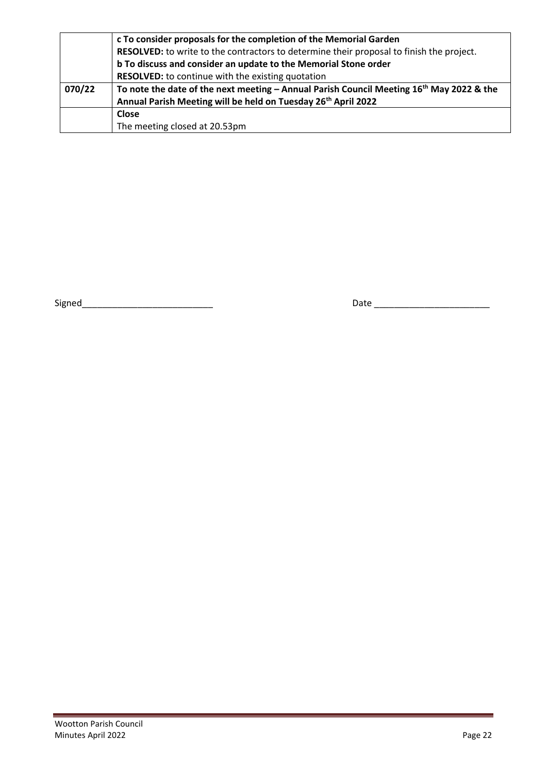|        | c To consider proposals for the completion of the Memorial Garden                             |  |  |  |  |  |  |
|--------|-----------------------------------------------------------------------------------------------|--|--|--|--|--|--|
|        | RESOLVED: to write to the contractors to determine their proposal to finish the project.      |  |  |  |  |  |  |
|        | b To discuss and consider an update to the Memorial Stone order                               |  |  |  |  |  |  |
|        | <b>RESOLVED:</b> to continue with the existing quotation                                      |  |  |  |  |  |  |
| 070/22 | To note the date of the next meeting - Annual Parish Council Meeting $16^{th}$ May 2022 & the |  |  |  |  |  |  |
|        | Annual Parish Meeting will be held on Tuesday 26 <sup>th</sup> April 2022                     |  |  |  |  |  |  |
|        | <b>Close</b>                                                                                  |  |  |  |  |  |  |
|        | The meeting closed at 20.53pm                                                                 |  |  |  |  |  |  |

Signed\_\_\_\_\_\_\_\_\_\_\_\_\_\_\_\_\_\_\_\_\_\_\_\_\_\_ Date \_\_\_\_\_\_\_\_\_\_\_\_\_\_\_\_\_\_\_\_\_\_\_